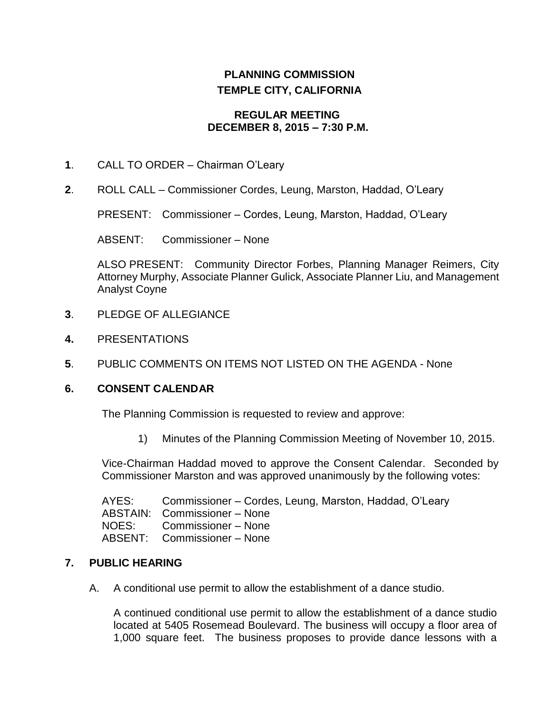# **PLANNING COMMISSION TEMPLE CITY, CALIFORNIA**

#### **REGULAR MEETING DECEMBER 8, 2015 – 7:30 P.M.**

- **1**. CALL TO ORDER Chairman O'Leary
- **2**. ROLL CALL Commissioner Cordes, Leung, Marston, Haddad, O'Leary

PRESENT: Commissioner – Cordes, Leung, Marston, Haddad, O'Leary

ABSENT: Commissioner – None

ALSO PRESENT: Community Director Forbes, Planning Manager Reimers, City Attorney Murphy, Associate Planner Gulick, Associate Planner Liu, and Management Analyst Coyne

- **3**. PLEDGE OF ALLEGIANCE
- **4.** PRESENTATIONS
- **5**. PUBLIC COMMENTS ON ITEMS NOT LISTED ON THE AGENDA None

#### **6. CONSENT CALENDAR**

The Planning Commission is requested to review and approve:

1) Minutes of the Planning Commission Meeting of November 10, 2015.

Vice-Chairman Haddad moved to approve the Consent Calendar. Seconded by Commissioner Marston and was approved unanimously by the following votes:

AYES: Commissioner – Cordes, Leung, Marston, Haddad, O'Leary ABSTAIN: Commissioner – None NOES: Commissioner – None ABSENT: Commissioner – None

#### **7. PUBLIC HEARING**

A. A conditional use permit to allow the establishment of a dance studio.

A continued conditional use permit to allow the establishment of a dance studio located at 5405 Rosemead Boulevard. The business will occupy a floor area of 1,000 square feet. The business proposes to provide dance lessons with a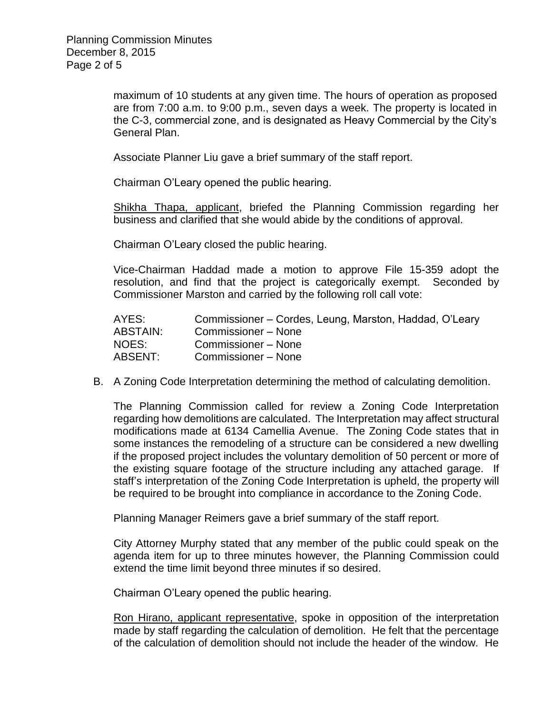maximum of 10 students at any given time. The hours of operation as proposed are from 7:00 a.m. to 9:00 p.m., seven days a week. The property is located in the C-3, commercial zone, and is designated as Heavy Commercial by the City's General Plan.

Associate Planner Liu gave a brief summary of the staff report.

Chairman O'Leary opened the public hearing.

Shikha Thapa, applicant, briefed the Planning Commission regarding her business and clarified that she would abide by the conditions of approval.

Chairman O'Leary closed the public hearing.

Vice-Chairman Haddad made a motion to approve File 15-359 adopt the resolution, and find that the project is categorically exempt. Seconded by Commissioner Marston and carried by the following roll call vote:

| AYES:           | Commissioner – Cordes, Leung, Marston, Haddad, O'Leary |
|-----------------|--------------------------------------------------------|
| <b>ABSTAIN:</b> | Commissioner - None                                    |
| NOES:           | Commissioner - None                                    |
| ABSENT:         | Commissioner - None                                    |

B. A Zoning Code Interpretation determining the method of calculating demolition.

The Planning Commission called for review a Zoning Code Interpretation regarding how demolitions are calculated. The Interpretation may affect structural modifications made at 6134 Camellia Avenue. The Zoning Code states that in some instances the remodeling of a structure can be considered a new dwelling if the proposed project includes the voluntary demolition of 50 percent or more of the existing square footage of the structure including any attached garage. If staff's interpretation of the Zoning Code Interpretation is upheld, the property will be required to be brought into compliance in accordance to the Zoning Code.

Planning Manager Reimers gave a brief summary of the staff report.

City Attorney Murphy stated that any member of the public could speak on the agenda item for up to three minutes however, the Planning Commission could extend the time limit beyond three minutes if so desired.

Chairman O'Leary opened the public hearing.

Ron Hirano, applicant representative, spoke in opposition of the interpretation made by staff regarding the calculation of demolition. He felt that the percentage of the calculation of demolition should not include the header of the window. He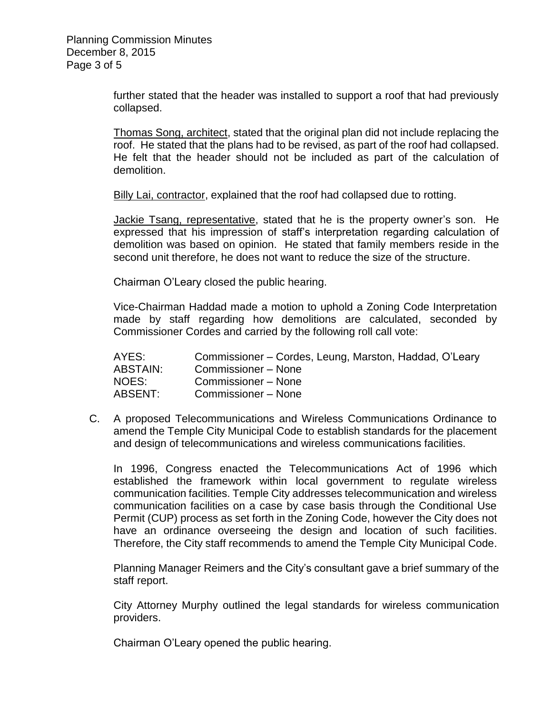further stated that the header was installed to support a roof that had previously collapsed.

Thomas Song, architect, stated that the original plan did not include replacing the roof. He stated that the plans had to be revised, as part of the roof had collapsed. He felt that the header should not be included as part of the calculation of demolition.

Billy Lai, contractor, explained that the roof had collapsed due to rotting.

Jackie Tsang, representative, stated that he is the property owner's son. He expressed that his impression of staff's interpretation regarding calculation of demolition was based on opinion. He stated that family members reside in the second unit therefore, he does not want to reduce the size of the structure.

Chairman O'Leary closed the public hearing.

Vice-Chairman Haddad made a motion to uphold a Zoning Code Interpretation made by staff regarding how demolitions are calculated, seconded by Commissioner Cordes and carried by the following roll call vote:

AYES: Commissioner – Cordes, Leung, Marston, Haddad, O'Leary ABSTAIN: Commissioner – None NOES: Commissioner – None ABSENT: Commissioner – None

C. A proposed Telecommunications and Wireless Communications Ordinance to amend the Temple City Municipal Code to establish standards for the placement and design of telecommunications and wireless communications facilities.

In 1996, Congress enacted the Telecommunications Act of 1996 which established the framework within local government to regulate wireless communication facilities. Temple City addresses telecommunication and wireless communication facilities on a case by case basis through the Conditional Use Permit (CUP) process as set forth in the Zoning Code, however the City does not have an ordinance overseeing the design and location of such facilities. Therefore, the City staff recommends to amend the Temple City Municipal Code.

Planning Manager Reimers and the City's consultant gave a brief summary of the staff report.

City Attorney Murphy outlined the legal standards for wireless communication providers.

Chairman O'Leary opened the public hearing.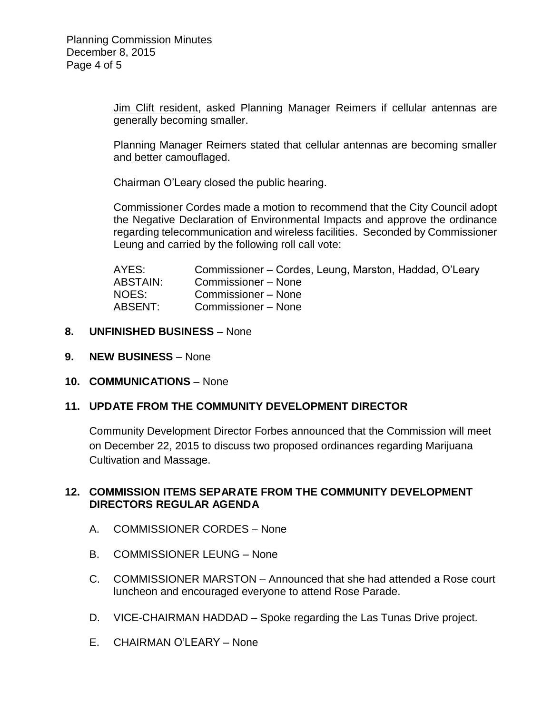Jim Clift resident, asked Planning Manager Reimers if cellular antennas are generally becoming smaller.

Planning Manager Reimers stated that cellular antennas are becoming smaller and better camouflaged.

Chairman O'Leary closed the public hearing.

Commissioner Cordes made a motion to recommend that the City Council adopt the Negative Declaration of Environmental Impacts and approve the ordinance regarding telecommunication and wireless facilities. Seconded by Commissioner Leung and carried by the following roll call vote:

| AYES:    | Commissioner – Cordes, Leung, Marston, Haddad, O'Leary |
|----------|--------------------------------------------------------|
| ABSTAIN: | Commissioner – None                                    |
| NOES:    | Commissioner - None                                    |
| ABSENT:  | Commissioner - None                                    |

- **8. UNFINISHED BUSINESS** None
- **9. NEW BUSINESS** None
- **10. COMMUNICATIONS** None

## **11. UPDATE FROM THE COMMUNITY DEVELOPMENT DIRECTOR**

Community Development Director Forbes announced that the Commission will meet on December 22, 2015 to discuss two proposed ordinances regarding Marijuana Cultivation and Massage.

## **12. COMMISSION ITEMS SEPARATE FROM THE COMMUNITY DEVELOPMENT DIRECTORS REGULAR AGENDA**

- A. COMMISSIONER CORDES None
- B. COMMISSIONER LEUNG None
- C. COMMISSIONER MARSTON Announced that she had attended a Rose court luncheon and encouraged everyone to attend Rose Parade.
- D. VICE-CHAIRMAN HADDAD Spoke regarding the Las Tunas Drive project.
- E. CHAIRMAN O'LEARY None